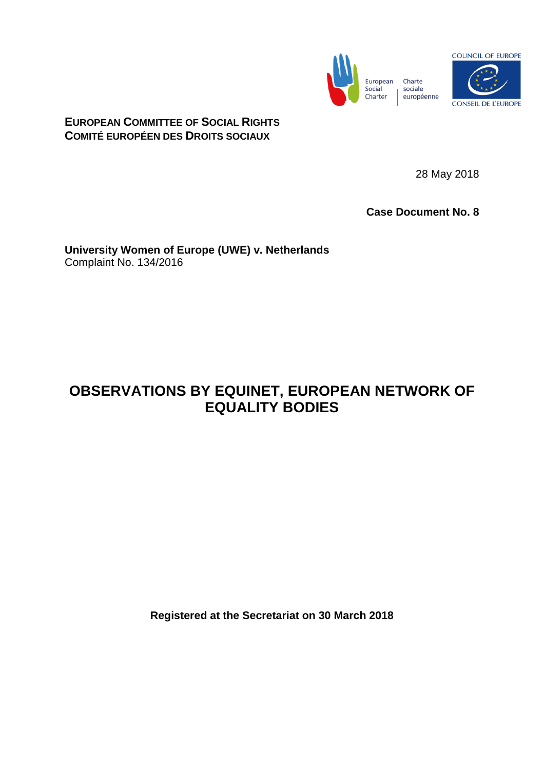

**EUROPEAN COMMITTEE OF SOCIAL RIGHTS COMITÉ EUROPÉEN DES DROITS SOCIAUX**

28 May 2018

**Case Document No. 8**

**University Women of Europe (UWE) v. Netherlands** Complaint No. 134/2016

## **OBSERVATIONS BY EQUINET, EUROPEAN NETWORK OF EQUALITY BODIES**

**Registered at the Secretariat on 30 March 2018**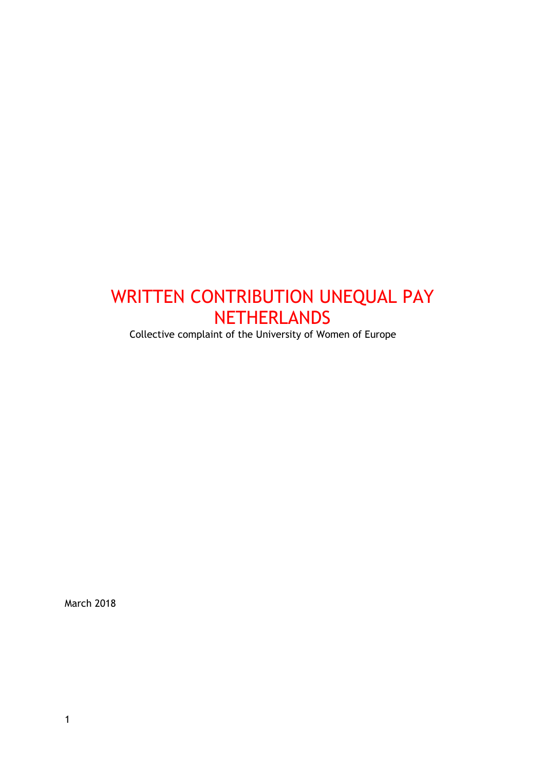# WRITTEN CONTRIBUTION UNEQUAL PAY **NETHERLANDS**

Collective complaint of the University of Women of Europe

March 2018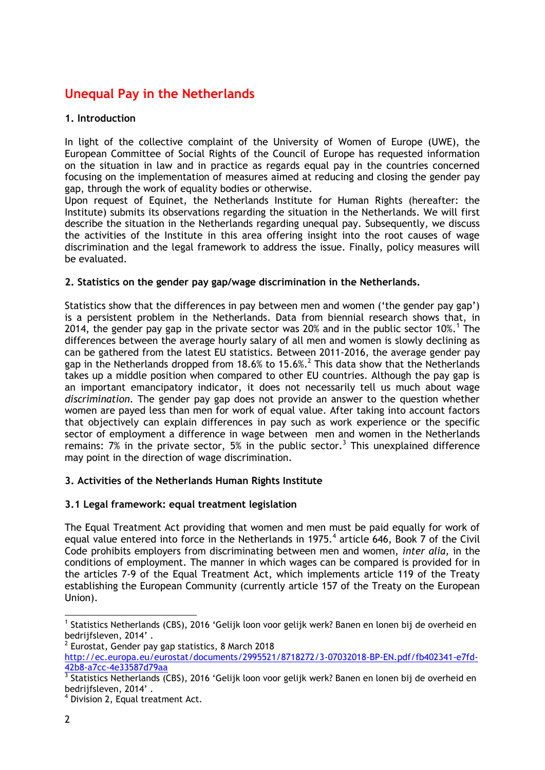### **Unequal Pay in the Netherlands**

#### **1. Introduction**

In light of the collective complaint of the University of Women of Europe (UWE), the European Committee of Social Rights of the Council of Europe has requested information on the situation in law and in practice as regards equal pay in the countries concerned focusing on the implementation of measures aimed at reducing and closing the gender pay gap, through the work of equality bodies or otherwise.

Upon request of Equinet, the Netherlands Institute for Human Rights (hereafter: the Institute) submits its observations regarding the situation in the Netherlands. We will first describe the situation in the Netherlands regarding unequal pay. Subsequently, we discuss the activities of the Institute in this area offering insight into the root causes of wage discrimination and the legal framework to address the issue. Finally, policy measures will be evaluated.

#### **2. Statistics on the gender pay gap/wage discrimination in the Netherlands.**

Statistics show that the differences in pay between men and women ('the gender pay gap') is a persistent problem in the Netherlands. Data from biennial research shows that, in 2014, the gender pay gap in the private sector was 20% and in the public sector 10%.<sup>1</sup> The differences between the average hourly salary of all men and women is slowly declining as can be gathered from the latest EU statistics. Between 2011-2016, the average gender pay gap in the Netherlands dropped from 18.6% to 15.6%.<sup>2</sup> This data show that the Netherlands takes up a middle position when compared to other EU countries. Although the pay gap is an important emancipatory indicator, it does not necessarily tell us much about wage *discrimination*. The gender pay gap does not provide an answer to the question whether women are payed less than men for work of equal value. After taking into account factors that objectively can explain differences in pay such as work experience or the specific sector of employment a difference in wage between men and women in the Netherlands remains: 7% in the private sector, 5% in the public sector.<sup>3</sup> This unexplained difference may point in the direction of wage discrimination.

#### **3. Activities of the Netherlands Human Rights Institute**

#### **3.1 Legal framework: equal treatment legislation**

The Equal Treatment Act providing that women and men must be paid equally for work of equal value entered into force in the Netherlands in 1975. $<sup>4</sup>$  article 646, Book 7 of the Civil</sup> Code prohibits employers from discriminating between men and women, *inter alia,* in the conditions of employment. The manner in which wages can be compared is provided for in the articles 7-9 of the Equal Treatment Act, which implements article 119 of the Treaty establishing the European Community (currently article 157 of the Treaty on the European Union).

 $\overline{a}$ <sup>1</sup> Statistics Netherlands (CBS), 2016 'Gelijk loon voor gelijk werk? Banen en lonen bij de overheid en bedrijfsleven, 2014' .

 $2$  Eurostat, Gender pay gap statistics, 8 March 2018

[http://ec.europa.eu/eurostat/documents/2995521/8718272/3-07032018-BP-EN.pdf/fb402341-e7fd-](http://ec.europa.eu/eurostat/documents/2995521/8718272/3-07032018-BP-EN.pdf/fb402341-e7fd-42b8-a7cc-4e33587d79aa)[42b8-a7cc-4e33587d79aa](http://ec.europa.eu/eurostat/documents/2995521/8718272/3-07032018-BP-EN.pdf/fb402341-e7fd-42b8-a7cc-4e33587d79aa)

<sup>&</sup>lt;sup>3</sup> Statistics Netherlands (CBS), 2016 'Gelijk loon voor gelijk werk? Banen en lonen bij de overheid en bedrijfsleven, 2014'.

<sup>&</sup>lt;sup>4</sup> Division 2, Equal treatment Act.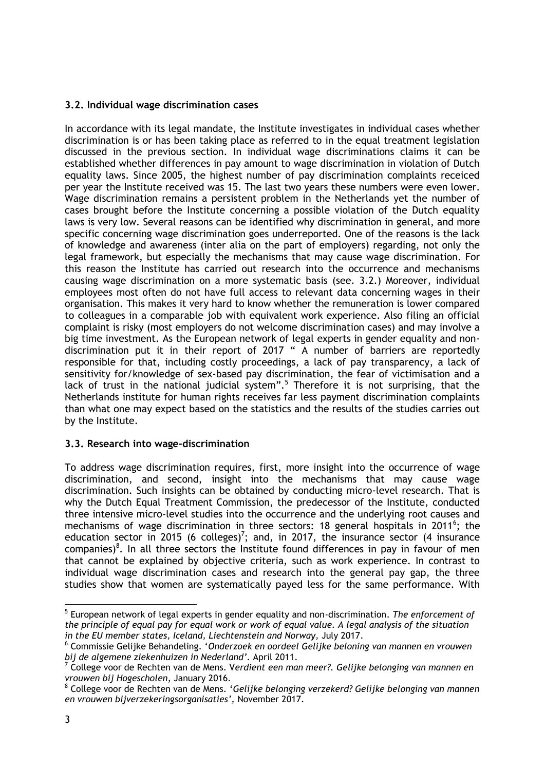#### **3.2. Individual wage discrimination cases**

In accordance with its legal mandate, the Institute investigates in individual cases whether discrimination is or has been taking place as referred to in the equal treatment legislation discussed in the previous section. In individual wage discriminations claims it can be established whether differences in pay amount to wage discrimination in violation of Dutch equality laws. Since 2005, the highest number of pay discrimination complaints receiced per year the Institute received was 15. The last two years these numbers were even lower. Wage discrimination remains a persistent problem in the Netherlands yet the number of cases brought before the Institute concerning a possible violation of the Dutch equality laws is very low. Several reasons can be identified why discrimination in general, and more specific concerning wage discrimination goes underreported. One of the reasons is the lack of knowledge and awareness (inter alia on the part of employers) regarding, not only the legal framework, but especially the mechanisms that may cause wage discrimination. For this reason the Institute has carried out research into the occurrence and mechanisms causing wage discrimination on a more systematic basis (see. 3.2.) Moreover, individual employees most often do not have full access to relevant data concerning wages in their organisation. This makes it very hard to know whether the remuneration is lower compared to colleagues in a comparable job with equivalent work experience. Also filing an official complaint is risky (most employers do not welcome discrimination cases) and may involve a big time investment. As the European network of legal experts in gender equality and nondiscrimination put it in their report of 2017 " A number of barriers are reportedly responsible for that, including costly proceedings, a lack of pay transparency, a lack of sensitivity for/knowledge of sex-based pay discrimination, the fear of victimisation and a lack of trust in the national judicial system".<sup>5</sup> Therefore it is not surprising, that the Netherlands institute for human rights receives far less payment discrimination complaints than what one may expect based on the statistics and the results of the studies carries out by the Institute.

#### **3.3. Research into wage-discrimination**

To address wage discrimination requires, first, more insight into the occurrence of wage discrimination, and second, insight into the mechanisms that may cause wage discrimination. Such insights can be obtained by conducting micro-level research. That is why the Dutch Equal Treatment Commission, the predecessor of the Institute, conducted three intensive micro-level studies into the occurrence and the underlying root causes and mechanisms of wage discrimination in three sectors: 18 general hospitals in 2011<sup>6</sup>; the education sector in 2015 (6 colleges)<sup>7</sup>; and, in 2017, the insurance sector (4 insurance companies)<sup>8</sup>. In all three sectors the Institute found differences in pay in favour of men that cannot be explained by objective criteria, such as work experience. In contrast to individual wage discrimination cases and research into the general pay gap, the three studies show that women are systematically payed less for the same performance. With

-

<sup>5</sup> European network of legal experts in gender equality and non-discrimination. *The enforcement of the principle of equal pay for equal work or work of equal value. A legal analysis of the situation in the EU member states, Iceland, Liechtenstein and Norway,* July 2017.

<sup>6</sup> Commissie Gelijke Behandeling. '*Onderzoek en oordeel Gelijke beloning van mannen en vrouwen bij de algemene ziekenhuizen in Nederland'.* April 2011.

<sup>7</sup> College voor de Rechten van de Mens. V*erdient een man meer?. Gelijke belonging van mannen en vrouwen bij Hogescholen*, January 2016.

<sup>8</sup> College voor de Rechten van de Mens. '*Gelijke belonging verzekerd? Gelijke belonging van mannen en vrouwen bijverzekeringsorganisaties',* November 2017.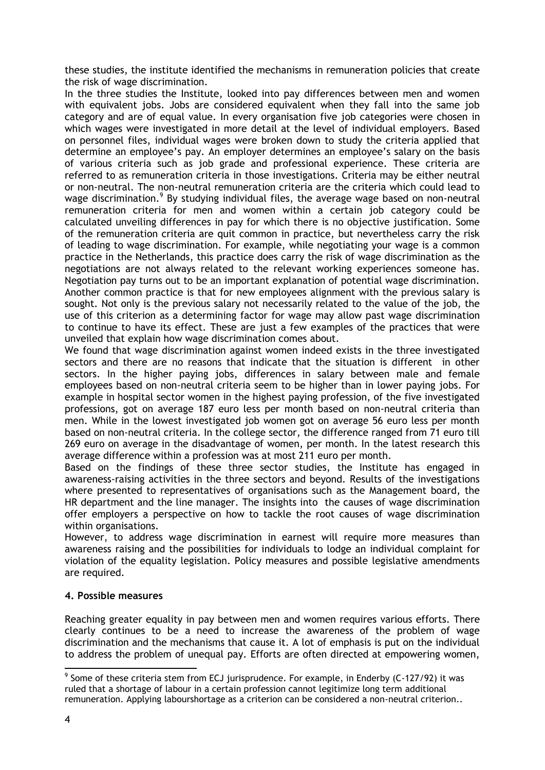these studies, the institute identified the mechanisms in remuneration policies that create the risk of wage discrimination.

In the three studies the Institute, looked into pay differences between men and women with equivalent jobs. Jobs are considered equivalent when they fall into the same job category and are of equal value. In every organisation five job categories were chosen in which wages were investigated in more detail at the level of individual employers. Based on personnel files, individual wages were broken down to study the criteria applied that determine an employee's pay. An employer determines an employee's salary on the basis of various criteria such as job grade and professional experience. These criteria are referred to as remuneration criteria in those investigations. Criteria may be either neutral or non-neutral. The non-neutral remuneration criteria are the criteria which could lead to wage discrimination.<sup>9</sup> By studying individual files, the average wage based on non-neutral remuneration criteria for men and women within a certain job category could be calculated unveiling differences in pay for which there is no objective justification. Some of the remuneration criteria are quit common in practice, but nevertheless carry the risk of leading to wage discrimination. For example, while negotiating your wage is a common practice in the Netherlands, this practice does carry the risk of wage discrimination as the negotiations are not always related to the relevant working experiences someone has. Negotiation pay turns out to be an important explanation of potential wage discrimination. Another common practice is that for new employees alignment with the previous salary is sought. Not only is the previous salary not necessarily related to the value of the job, the use of this criterion as a determining factor for wage may allow past wage discrimination to continue to have its effect. These are just a few examples of the practices that were unveiled that explain how wage discrimination comes about.

We found that wage discrimination against women indeed exists in the three investigated sectors and there are no reasons that indicate that the situation is different in other sectors. In the higher paying jobs, differences in salary between male and female employees based on non-neutral criteria seem to be higher than in lower paying jobs. For example in hospital sector women in the highest paying profession, of the five investigated professions, got on average 187 euro less per month based on non-neutral criteria than men. While in the lowest investigated job women got on average 56 euro less per month based on non-neutral criteria. In the college sector, the difference ranged from 71 euro till 269 euro on average in the disadvantage of women, per month. In the latest research this average difference within a profession was at most 211 euro per month.

Based on the findings of these three sector studies, the Institute has engaged in awareness-raising activities in the three sectors and beyond. Results of the investigations where presented to representatives of organisations such as the Management board, the HR department and the line manager. The insights into the causes of wage discrimination offer employers a perspective on how to tackle the root causes of wage discrimination within organisations.

However, to address wage discrimination in earnest will require more measures than awareness raising and the possibilities for individuals to lodge an individual complaint for violation of the equality legislation. Policy measures and possible legislative amendments are required.

#### **4. Possible measures**

Reaching greater equality in pay between men and women requires various efforts. There clearly continues to be a need to increase the awareness of the problem of wage discrimination and the mechanisms that cause it. A lot of emphasis is put on the individual to address the problem of unequal pay. Efforts are often directed at empowering women,

 $\overline{a}$ 

 $9$  Some of these criteria stem from ECJ jurisprudence. For example, in Enderby (C-127/92) it was ruled that a shortage of labour in a certain profession cannot legitimize long term additional remuneration. Applying labourshortage as a criterion can be considered a non-neutral criterion..